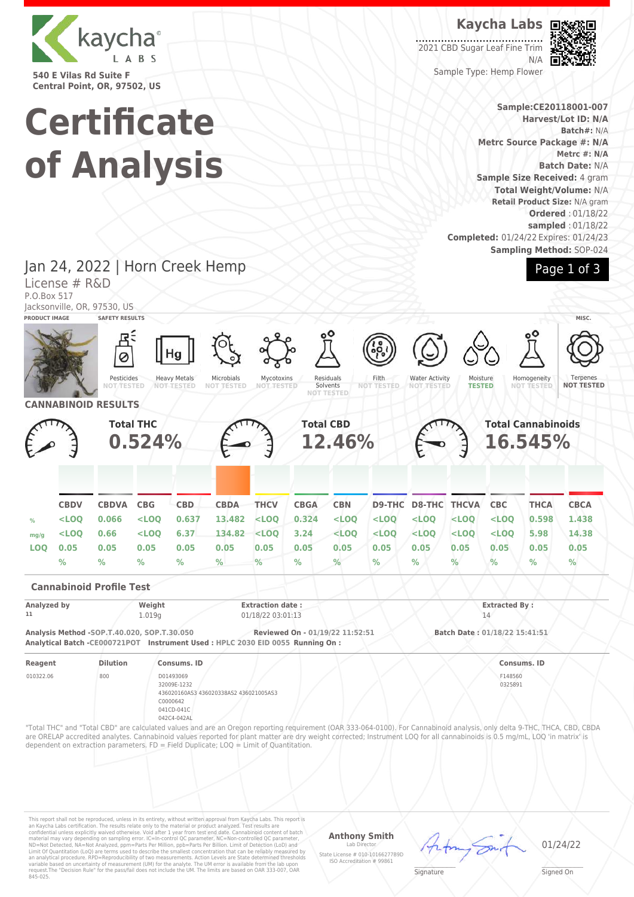

**540 E Vilas Rd Suite F Central Point, OR, 97502, US**

# **Certificate of Analysis**

**Kaycha Labs**

2021 CBD Sugar Leaf Fine Trim N/A



Sample Type: Hemp Flower

**Sample:CE20118001-007 Harvest/Lot ID: N/A Batch#:** N/A **Metrc Source Package #: N/A Metrc #: N/A Batch Date:** N/A **Sample Size Received:** 4 gram **Total Weight/Volume:** N/A **Retail Product Size:** N/A gram **Ordered** : 01/18/22 **sampled** : 01/18/22 **Completed:** 01/24/22 Expires: 01/24/23 **Sampling Method:** SOP-024



Jan 24, 2022 | Horn Creek Hemp License # R&D P.O.Box 517 Jacksonville, OR, 97530, US



This report shall not be reproduced, unless in its entirety, without written approval from Kaycha Labs. This report is<br>an Kaycha Labs certification. The results relate only to the material or product analyzed. Test result

#### **Anthony Smith** Lab Director

State License # 010-10166277B9D ISO Accreditation # 99861

01/24/22

 $\mathscr{L}\setminus\mathscr{L}$ **Signature** 

Signed On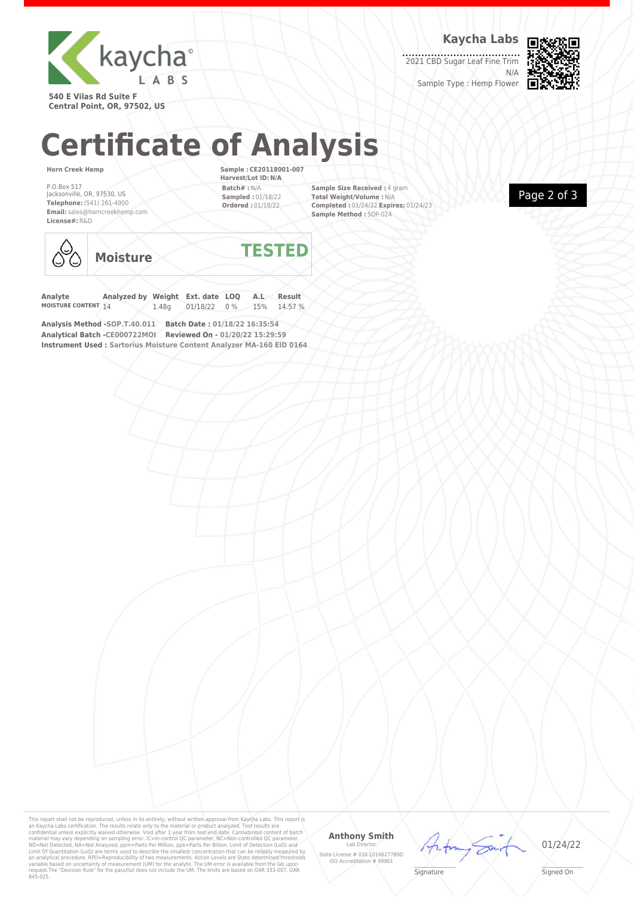

**Kaycha Labs**

2021 CBD Sugar Leaf Fine Trim N/A



Sample Type : Hemp Flower

**540 E Vilas Rd Suite F Central Point, OR, 97502, US**

## **Certificate of Analysis**

### **Horn Creek Hemp**

P.O.Box 517 Jacksonville, OR, 97530, US **Telephone:** (541) 261-4900 **Email:** sales@horncreekhemp.com **License#:** R&D

**Sample : CE20118001-007 Harvest/Lot ID: N/A Batch# :** N/A **Sampled :** 01/18/22 **Ordered :** 01/18/22

**Sample Size Received :** 4 gram **Total Weight/Volume :** N/A **Completed :** 01/24/22 **Expires:** 01/24/23 **Sample Method :** SOP-024





**Moisture TESTED**

**Analyte Analyzed by Weight Ext. date LOQ A.L Result** 01/18/22 0 % 15% 14.57 %

**Analysis Method -SOP.T.40.011 Batch Date : 01/18/22 16:35:54 Analytical Batch -CE000722MOI Reviewed On - 01/20/22 15:29:59 Instrument Used : Sartorius Moisture Content Analyzer MA-160 EID 0164**

This report shall not be reproduced, unless in its entirety, without written approval from Kaycha Labs. This report is<br>an Kaycha Labs certification. The results relate only to the material or product analyzed. Test result

## **Anthony Smith**

Lab Director State License # 010-10166277B9D ISO Accreditation # 99861



01/24/22

 $\mathscr{L}\setminus\mathscr{L}$ **Signature** 

\_\_\_\_\_\_\_\_\_\_\_\_\_\_\_\_\_\_\_ Signed On